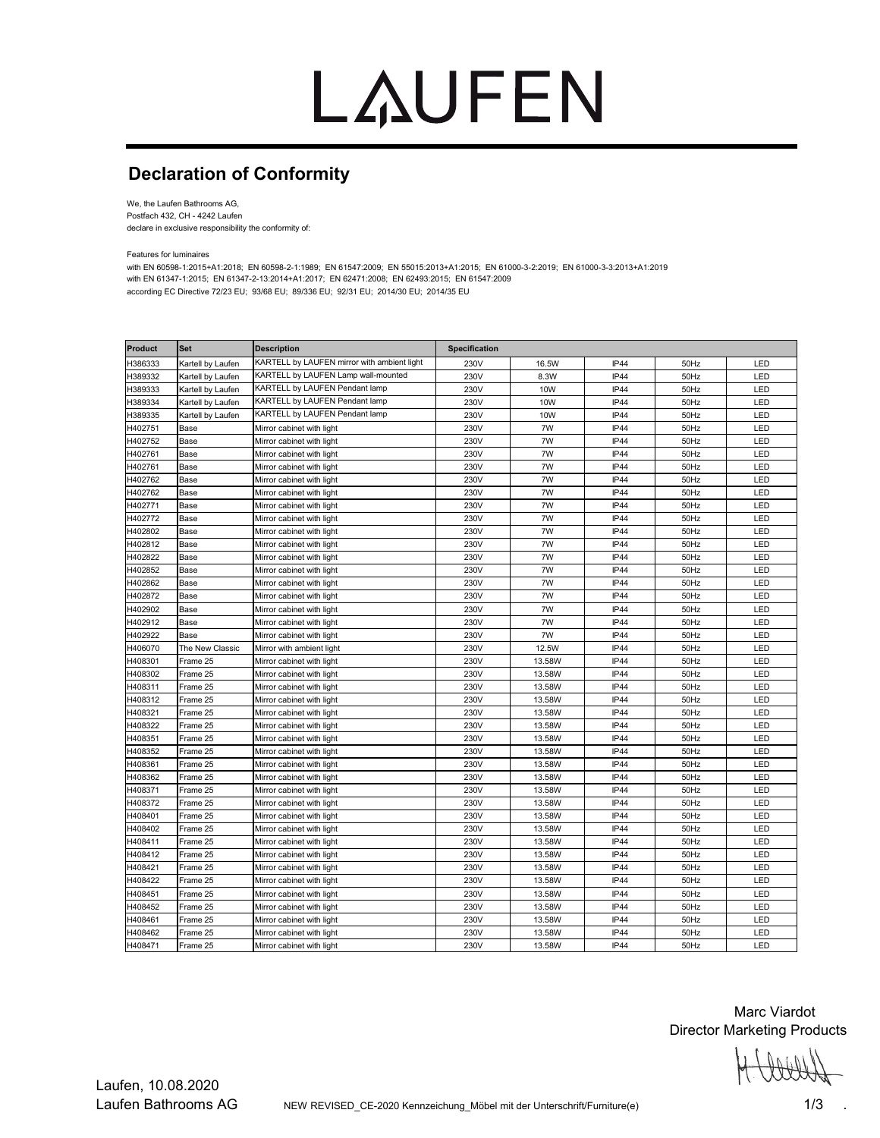# LAUFEN

### **Declaration of Conformity**

We, the Laufen Bathrooms AG, Postfach 432, CH - 4242 Laufen declare in exclusive responsibility the conformity of:

Features for luminaires

with EN 60598-1:2015+A1:2018; EN 60598-2-1:1989; EN 61547:2009; EN 55015:2013+A1:2015; EN 61000-3-2:2019; EN 61000-3-3:2013+A1:2019 with EN 61347-1:2015; EN 61347-2-13:2014+A1:2017; EN 62471:2008; EN 62493:2015; EN 61547:2009 according EC Directive 72/23 EU; 93/68 EU; 89/336 EU; 92/31 EU; 2014/30 EU; 2014/35 EU

| <b>Product</b> | <b>Set</b>        | <b>Description</b>                          | Specification |            |             |      |     |
|----------------|-------------------|---------------------------------------------|---------------|------------|-------------|------|-----|
| H386333        | Kartell by Laufen | KARTELL by LAUFEN mirror with ambient light | 230V          | 16.5W      | IP44        | 50Hz | LED |
| H389332        | Kartell by Laufen | KARTELL by LAUFEN Lamp wall-mounted         | 230V          | 8.3W       | <b>IP44</b> | 50Hz | LED |
| H389333        | Kartell by Laufen | KARTELL by LAUFEN Pendant lamp              | 230V          | 10W        | IP44        | 50Hz | LED |
| H389334        | Kartell by Laufen | KARTELL by LAUFEN Pendant lamp              | 230V          | <b>10W</b> | IP44        | 50Hz | LED |
| H389335        | Kartell by Laufen | KARTELL by LAUFEN Pendant lamp              | 230V          | <b>10W</b> | IP44        | 50Hz | LED |
| H402751        | Base              | Mirror cabinet with light                   | 230V          | 7W         | IP44        | 50Hz | LED |
| H402752        | Base              | Mirror cabinet with light                   | 230V          | 7W         | IP44        | 50Hz | LED |
| H402761        | Base              | Mirror cabinet with light                   | 230V          | 7W         | IP44        | 50Hz | LED |
| H402761        | Base              | Mirror cabinet with light                   | 230V          | 7W         | IP44        | 50Hz | LED |
| H402762        | Base              | Mirror cabinet with light                   | 230V          | 7W         | IP44        | 50Hz | LED |
| H402762        | Base              | Mirror cabinet with light                   | 230V          | 7W         | IP44        | 50Hz | LED |
| H402771        | Base              | Mirror cabinet with light                   | 230V          | 7W         | IP44        | 50Hz | LED |
| H402772        | Base              | Mirror cabinet with light                   | 230V          | 7W         | IP44        | 50Hz | LED |
| H402802        | Base              | Mirror cabinet with light                   | 230V          | 7W         | IP44        | 50Hz | LED |
| H402812        | Base              | Mirror cabinet with light                   | 230V          | 7W         | IP44        | 50Hz | LED |
| H402822        | Base              | Mirror cabinet with light                   | 230V          | 7W         | IP44        | 50Hz | LED |
| H402852        | Base              | Mirror cabinet with light                   | 230V          | 7W         | IP44        | 50Hz | LED |
| H402862        | Base              | Mirror cabinet with light                   | 230V          | 7W         | IP44        | 50Hz | LED |
| H402872        | Base              | Mirror cabinet with light                   | 230V          | 7W         | IP44        | 50Hz | LED |
| H402902        | Base              | Mirror cabinet with light                   | 230V          | 7W         | IP44        | 50Hz | LED |
| H402912        | Base              | Mirror cabinet with light                   | 230V          | 7W         | IP44        | 50Hz | LED |
| H402922        | Base              | Mirror cabinet with light                   | 230V          | 7W         | IP44        | 50Hz | LED |
| H406070        | The New Classic   | Mirror with ambient light                   | 230V          | 12.5W      | <b>IP44</b> | 50Hz | LED |
| H408301        | Frame 25          | Mirror cabinet with light                   | 230V          | 13.58W     | IP44        | 50Hz | LED |
| H408302        | Frame 25          | Mirror cabinet with light                   | 230V          | 13.58W     | IP44        | 50Hz | LED |
| H408311        | Frame 25          | Mirror cabinet with light                   | 230V          | 13.58W     | IP44        | 50Hz | LED |
| H408312        | Frame 25          | Mirror cabinet with light                   | 230V          | 13.58W     | IP44        | 50Hz | LED |
| H408321        | Frame 25          | Mirror cabinet with light                   | 230V          | 13.58W     | IP44        | 50Hz | LED |
| H408322        | Frame 25          | Mirror cabinet with light                   | 230V          | 13.58W     | IP44        | 50Hz | LED |
| H408351        | Frame 25          | Mirror cabinet with light                   | 230V          | 13.58W     | IP44        | 50Hz | LED |
| H408352        | Frame 25          | Mirror cabinet with light                   | 230V          | 13.58W     | IP44        | 50Hz | LED |
| H408361        | Frame 25          | Mirror cabinet with light                   | 230V          | 13.58W     | IP44        | 50Hz | LED |
| H408362        | Frame 25          | Mirror cabinet with light                   | 230V          | 13.58W     | IP44        | 50Hz | LED |
| H408371        | Frame 25          | Mirror cabinet with light                   | 230V          | 13.58W     | IP44        | 50Hz | LED |
| H408372        | Frame 25          | Mirror cabinet with light                   | 230V          | 13.58W     | IP44        | 50Hz | LED |
| H408401        | Frame 25          | Mirror cabinet with light                   | 230V          | 13.58W     | IP44        | 50Hz | LED |
| H408402        | Frame 25          | Mirror cabinet with light                   | 230V          | 13.58W     | IP44        | 50Hz | LED |
| H408411        | Frame 25          | Mirror cabinet with light                   | 230V          | 13.58W     | IP44        | 50Hz | LED |
| H408412        | Frame 25          | Mirror cabinet with light                   | 230V          | 13.58W     | IP44        | 50Hz | LED |
| H408421        | Frame 25          | Mirror cabinet with light                   | 230V          | 13.58W     | IP44        | 50Hz | LED |
| H408422        | Frame 25          | Mirror cabinet with light                   | 230V          | 13.58W     | IP44        | 50Hz | LED |
| H408451        | Frame 25          | Mirror cabinet with light                   | 230V          | 13.58W     | IP44        | 50Hz | LED |
| H408452        | Frame 25          | Mirror cabinet with light                   | 230V          | 13.58W     | IP44        | 50Hz | LED |
| H408461        | Frame 25          | Mirror cabinet with light                   | 230V          | 13.58W     | IP44        | 50Hz | LED |
| H408462        | Frame 25          | Mirror cabinet with light                   | 230V          | 13.58W     | IP44        | 50Hz | LED |
| H408471        | Frame 25          | Mirror cabinet with light                   | 230V          | 13.58W     | IP44        | 50Hz | LED |

Marc Viardot Director Marketing Products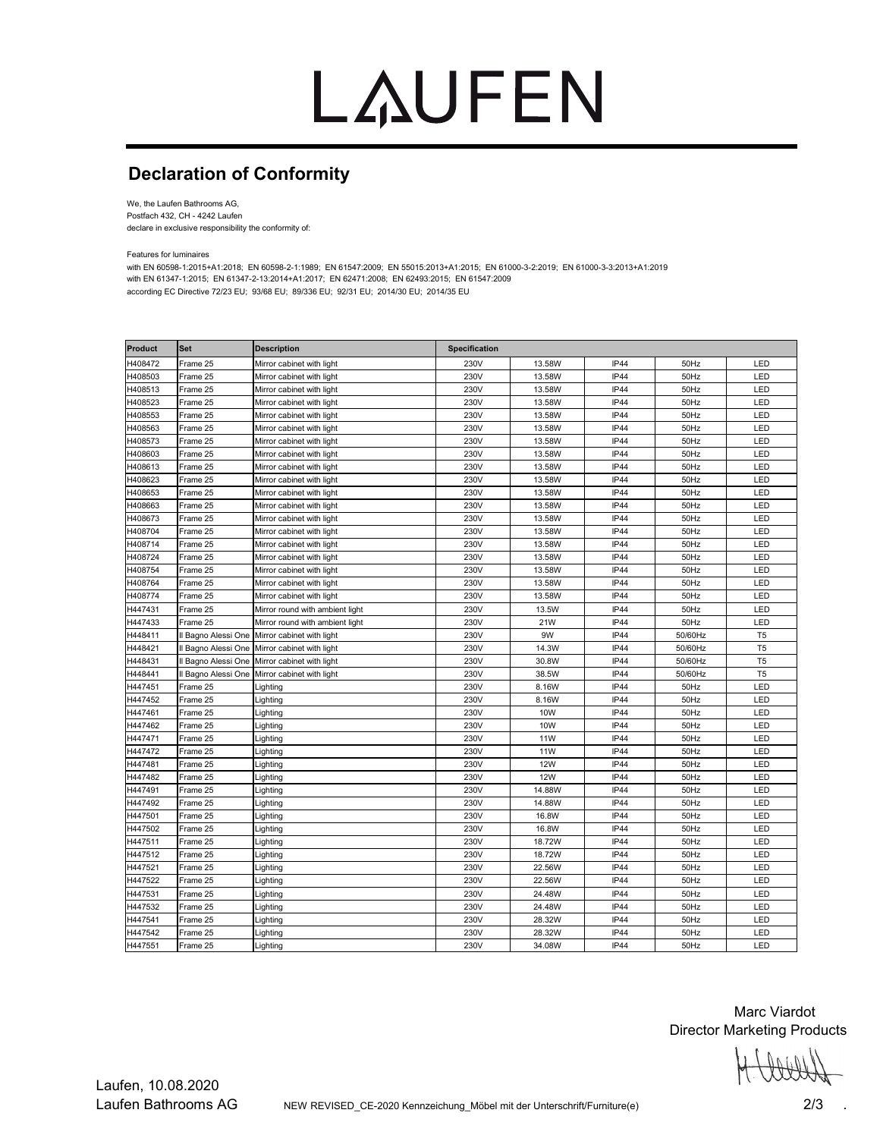# LAUFEN

### **Declaration of Conformity**

We, the Laufen Bathrooms AG, Postfach 432, CH - 4242 Laufen declare in exclusive responsibility the conformity of:

Features for luminaires

with EN 60598-1:2015+A1:2018; EN 60598-2-1:1989; EN 61547:2009; EN 55015:2013+A1:2015; EN 61000-3-2:2019; EN 61000-3-3:2013+A1:2019 with EN 61347-1:2015; EN 61347-2-13:2014+A1:2017; EN 62471:2008; EN 62493:2015; EN 61547:2009 according EC Directive 72/23 EU; 93/68 EU; 89/336 EU; 92/31 EU; 2014/30 EU; 2014/35 EU

| <b>Product</b> | <b>Set</b>          | <b>Description</b>              | <b>Specification</b> |            |             |         |                |
|----------------|---------------------|---------------------------------|----------------------|------------|-------------|---------|----------------|
| H408472        | Frame 25            | Mirror cabinet with light       | 230V                 | 13.58W     | IP44        | 50Hz    | LED            |
| H408503        | Frame 25            | Mirror cabinet with light       | 230V                 | 13.58W     | IP44        | 50Hz    | LED            |
| H408513        | Frame 25            | Mirror cabinet with light       | 230V                 | 13.58W     | IP44        | 50Hz    | LED            |
| H408523        | Frame 25            | Mirror cabinet with light       | 230V                 | 13.58W     | IP44        | 50Hz    | LED            |
| H408553        | Frame 25            | Mirror cabinet with light       | 230V                 | 13.58W     | IP44        | 50Hz    | LED            |
| H408563        | Frame 25            | Mirror cabinet with light       | 230V                 | 13.58W     | <b>IP44</b> | 50Hz    | LED            |
| H408573        | Frame 25            | Mirror cabinet with light       | 230V                 | 13.58W     | IP44        | 50Hz    | LED            |
| H408603        | Frame 25            | Mirror cabinet with light       | 230V                 | 13.58W     | IP44        | 50Hz    | LED            |
| H408613        | Frame 25            | Mirror cabinet with light       | 230V                 | 13.58W     | IP44        | 50Hz    | LED            |
| H408623        | Frame 25            | Mirror cabinet with light       | 230V                 | 13.58W     | IP44        | 50Hz    | LED            |
| H408653        | Frame 25            | Mirror cabinet with light       | 230V                 | 13.58W     | <b>IP44</b> | 50Hz    | LED            |
| H408663        | Frame 25            | Mirror cabinet with light       | 230V                 | 13.58W     | IP44        | 50Hz    | LED            |
| H408673        | Frame 25            | Mirror cabinet with light       | 230V                 | 13.58W     | IP44        | 50Hz    | LED            |
| H408704        | Frame 25            | Mirror cabinet with light       | 230V                 | 13.58W     | IP44        | 50Hz    | LED            |
| H408714        | Frame 25            | Mirror cabinet with light       | 230V                 | 13.58W     | IP44        | 50Hz    | LED            |
| H408724        | Frame 25            | Mirror cabinet with light       | 230V                 | 13.58W     | IP44        | 50Hz    | LED            |
| H408754        | Frame 25            | Mirror cabinet with light       | 230V                 | 13.58W     | IP44        | 50Hz    | LED            |
| H408764        | Frame 25            | Mirror cabinet with light       | 230V                 | 13.58W     | <b>IP44</b> | 50Hz    | LED            |
| H408774        | Frame 25            | Mirror cabinet with light       | 230V                 | 13.58W     | IP44        | 50Hz    | LED            |
| H447431        | Frame 25            | Mirror round with ambient light | 230V                 | 13.5W      | IP44        | 50Hz    | LED            |
| H447433        | Frame 25            | Mirror round with ambient light | 230V                 | 21W        | IP44        | 50Hz    | LED            |
| H448411        | Il Bagno Alessi One | Mirror cabinet with light       | 230V                 | 9W         | IP44        | 50/60Hz | T <sub>5</sub> |
| H448421        | Il Bagno Alessi One | Mirror cabinet with light       | 230V                 | 14.3W      | IP44        | 50/60Hz | T <sub>5</sub> |
| H448431        | Il Bagno Alessi One | Mirror cabinet with light       | 230V                 | 30.8W      | IP44        | 50/60Hz | T <sub>5</sub> |
| H448441        | Il Bagno Alessi One | Mirror cabinet with light       | 230V                 | 38.5W      | IP44        | 50/60Hz | T <sub>5</sub> |
| H447451        | Frame 25            | Lighting                        | 230V                 | 8.16W      | IP44        | 50Hz    | LED            |
| H447452        | Frame 25            | ∟ighting                        | 230V                 | 8.16W      | IP44        | 50Hz    | LED            |
| H447461        | Frame 25            | Lighting                        | 230V                 | <b>10W</b> | <b>IP44</b> | 50Hz    | LED            |
| H447462        | Frame 25            | Lighting                        | 230V                 | 10W        | IP44        | 50Hz    | LED            |
| H447471        | Frame 25            | Lighting                        | 230V                 | <b>11W</b> | IP44        | 50Hz    | LED            |
| H447472        | Frame 25            | Lighting                        | 230V                 | <b>11W</b> | IP44        | 50Hz    | LED            |
| H447481        | Frame 25            | Lighting                        | 230V                 | <b>12W</b> | IP44        | 50Hz    | LED            |
| H447482        | Frame 25            | Lighting                        | 230V                 | <b>12W</b> | IP44        | 50Hz    | LED            |
| H447491        | Frame 25            | ∟ighting                        | 230V                 | 14.88W     | IP44        | 50Hz    | LED            |
| H447492        | Frame 25            | ∟ighting                        | 230V                 | 14.88W     | IP44        | 50Hz    | LED            |
| H447501        | Frame 25            | Lighting                        | 230V                 | 16.8W      | IP44        | 50Hz    | LED            |
| H447502        | Frame 25            | _ighting                        | 230V                 | 16.8W      | <b>IP44</b> | 50Hz    | LED            |
| H447511        | Frame 25            | Lighting                        | 230V                 | 18.72W     | IP44        | 50Hz    | LED            |
| H447512        | Frame 25            | Lighting                        | 230V                 | 18.72W     | IP44        | 50Hz    | LED            |
| H447521        | Frame 25            | Lighting                        | 230V                 | 22.56W     | IP44        | 50Hz    | LED            |
| H447522        | Frame 25            | Lighting                        | 230V                 | 22.56W     | IP44        | 50Hz    | LED            |
| H447531        | Frame 25            | Lighting                        | 230V                 | 24.48W     | IP44        | 50Hz    | LED            |
| H447532        | Frame 25            | Lighting                        | 230V                 | 24.48W     | IP44        | 50Hz    | LED            |
| H447541        | Frame 25            | Lighting                        | 230V                 | 28.32W     | <b>IP44</b> | 50Hz    | LED            |
| H447542        | Frame 25            | Lighting                        | 230V                 | 28.32W     | IP44        | 50Hz    | LED            |
| H447551        | Frame 25            | Lighting                        | 230V                 | 34.08W     | IP44        | 50Hz    | LED            |

Marc Viardot Director Marketing Products